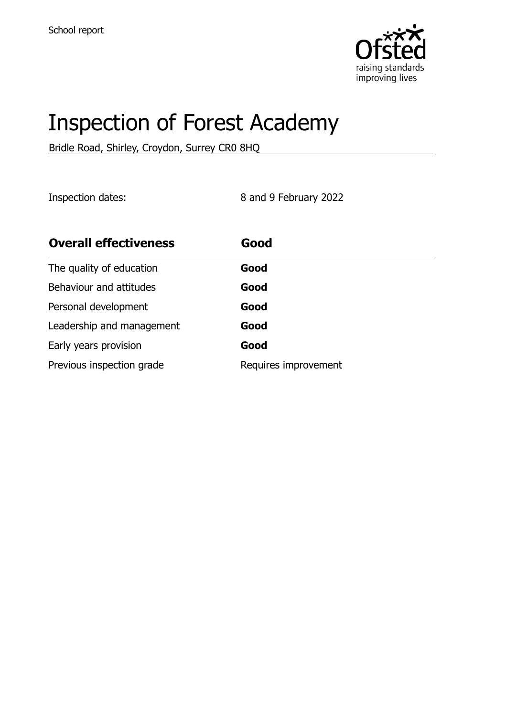

# Inspection of Forest Academy

Bridle Road, Shirley, Croydon, Surrey CR0 8HQ

Inspection dates: 8 and 9 February 2022

| <b>Overall effectiveness</b> | Good                 |
|------------------------------|----------------------|
| The quality of education     | Good                 |
| Behaviour and attitudes      | Good                 |
| Personal development         | Good                 |
| Leadership and management    | Good                 |
| Early years provision        | Good                 |
| Previous inspection grade    | Requires improvement |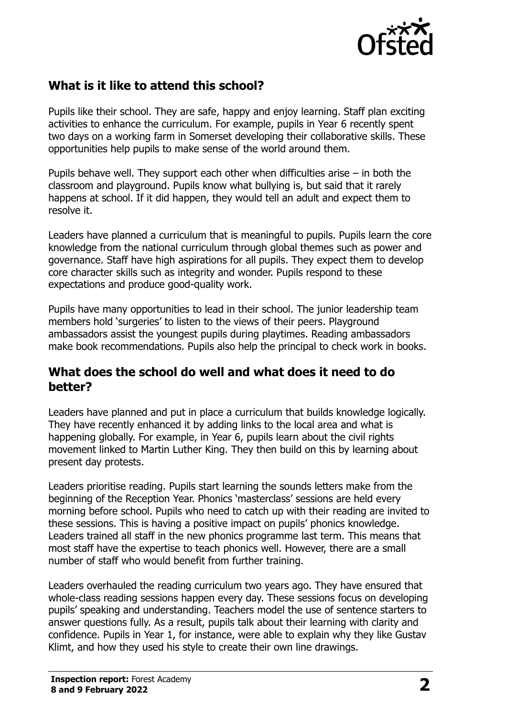

# **What is it like to attend this school?**

Pupils like their school. They are safe, happy and enjoy learning. Staff plan exciting activities to enhance the curriculum. For example, pupils in Year 6 recently spent two days on a working farm in Somerset developing their collaborative skills. These opportunities help pupils to make sense of the world around them.

Pupils behave well. They support each other when difficulties arise – in both the classroom and playground. Pupils know what bullying is, but said that it rarely happens at school. If it did happen, they would tell an adult and expect them to resolve it.

Leaders have planned a curriculum that is meaningful to pupils. Pupils learn the core knowledge from the national curriculum through global themes such as power and governance. Staff have high aspirations for all pupils. They expect them to develop core character skills such as integrity and wonder. Pupils respond to these expectations and produce good-quality work.

Pupils have many opportunities to lead in their school. The junior leadership team members hold 'surgeries' to listen to the views of their peers. Playground ambassadors assist the youngest pupils during playtimes. Reading ambassadors make book recommendations. Pupils also help the principal to check work in books.

### **What does the school do well and what does it need to do better?**

Leaders have planned and put in place a curriculum that builds knowledge logically. They have recently enhanced it by adding links to the local area and what is happening globally. For example, in Year 6, pupils learn about the civil rights movement linked to Martin Luther King. They then build on this by learning about present day protests.

Leaders prioritise reading. Pupils start learning the sounds letters make from the beginning of the Reception Year. Phonics 'masterclass' sessions are held every morning before school. Pupils who need to catch up with their reading are invited to these sessions. This is having a positive impact on pupils' phonics knowledge. Leaders trained all staff in the new phonics programme last term. This means that most staff have the expertise to teach phonics well. However, there are a small number of staff who would benefit from further training.

Leaders overhauled the reading curriculum two years ago. They have ensured that whole-class reading sessions happen every day. These sessions focus on developing pupils' speaking and understanding. Teachers model the use of sentence starters to answer questions fully. As a result, pupils talk about their learning with clarity and confidence. Pupils in Year 1, for instance, were able to explain why they like Gustav Klimt, and how they used his style to create their own line drawings.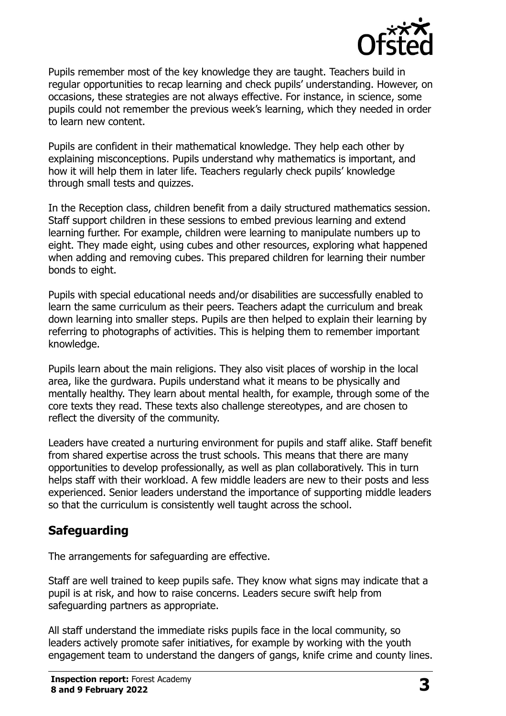

Pupils remember most of the key knowledge they are taught. Teachers build in regular opportunities to recap learning and check pupils' understanding. However, on occasions, these strategies are not always effective. For instance, in science, some pupils could not remember the previous week's learning, which they needed in order to learn new content.

Pupils are confident in their mathematical knowledge. They help each other by explaining misconceptions. Pupils understand why mathematics is important, and how it will help them in later life. Teachers regularly check pupils' knowledge through small tests and quizzes.

In the Reception class, children benefit from a daily structured mathematics session. Staff support children in these sessions to embed previous learning and extend learning further. For example, children were learning to manipulate numbers up to eight. They made eight, using cubes and other resources, exploring what happened when adding and removing cubes. This prepared children for learning their number bonds to eight.

Pupils with special educational needs and/or disabilities are successfully enabled to learn the same curriculum as their peers. Teachers adapt the curriculum and break down learning into smaller steps. Pupils are then helped to explain their learning by referring to photographs of activities. This is helping them to remember important knowledge.

Pupils learn about the main religions. They also visit places of worship in the local area, like the gurdwara. Pupils understand what it means to be physically and mentally healthy. They learn about mental health, for example, through some of the core texts they read. These texts also challenge stereotypes, and are chosen to reflect the diversity of the community.

Leaders have created a nurturing environment for pupils and staff alike. Staff benefit from shared expertise across the trust schools. This means that there are many opportunities to develop professionally, as well as plan collaboratively. This in turn helps staff with their workload. A few middle leaders are new to their posts and less experienced. Senior leaders understand the importance of supporting middle leaders so that the curriculum is consistently well taught across the school.

# **Safeguarding**

The arrangements for safeguarding are effective.

Staff are well trained to keep pupils safe. They know what signs may indicate that a pupil is at risk, and how to raise concerns. Leaders secure swift help from safeguarding partners as appropriate.

All staff understand the immediate risks pupils face in the local community, so leaders actively promote safer initiatives, for example by working with the youth engagement team to understand the dangers of gangs, knife crime and county lines.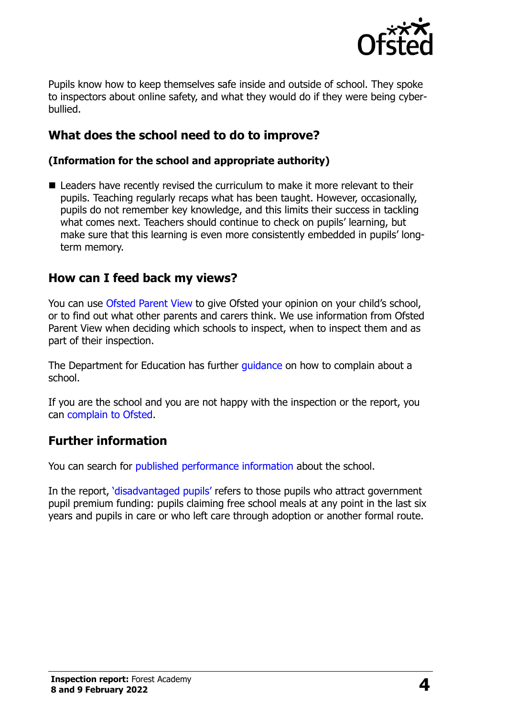

Pupils know how to keep themselves safe inside and outside of school. They spoke to inspectors about online safety, and what they would do if they were being cyberbullied.

# **What does the school need to do to improve?**

#### **(Information for the school and appropriate authority)**

■ Leaders have recently revised the curriculum to make it more relevant to their pupils. Teaching regularly recaps what has been taught. However, occasionally, pupils do not remember key knowledge, and this limits their success in tackling what comes next. Teachers should continue to check on pupils' learning, but make sure that this learning is even more consistently embedded in pupils' longterm memory.

## **How can I feed back my views?**

You can use [Ofsted Parent View](http://parentview.ofsted.gov.uk/) to give Ofsted your opinion on your child's school, or to find out what other parents and carers think. We use information from Ofsted Parent View when deciding which schools to inspect, when to inspect them and as part of their inspection.

The Department for Education has further quidance on how to complain about a school.

If you are the school and you are not happy with the inspection or the report, you can [complain to Ofsted.](http://www.gov.uk/complain-ofsted-report)

#### **Further information**

You can search for [published performance information](http://www.compare-school-performance.service.gov.uk/) about the school.

In the report, '[disadvantaged pupils](http://www.gov.uk/guidance/pupil-premium-information-for-schools-and-alternative-provision-settings)' refers to those pupils who attract government pupil premium funding: pupils claiming free school meals at any point in the last six years and pupils in care or who left care through adoption or another formal route.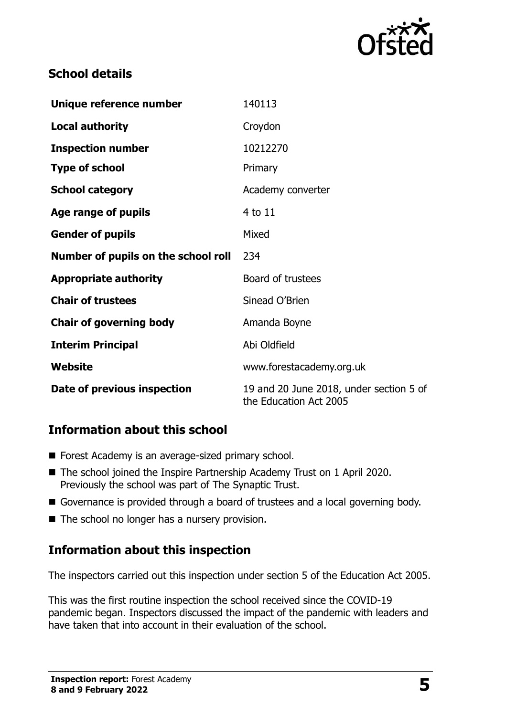

# **School details**

| Unique reference number             | 140113                                                            |
|-------------------------------------|-------------------------------------------------------------------|
| <b>Local authority</b>              | Croydon                                                           |
| <b>Inspection number</b>            | 10212270                                                          |
| <b>Type of school</b>               | Primary                                                           |
| <b>School category</b>              | Academy converter                                                 |
| Age range of pupils                 | 4 to 11                                                           |
| <b>Gender of pupils</b>             | Mixed                                                             |
| Number of pupils on the school roll | 234                                                               |
| <b>Appropriate authority</b>        | Board of trustees                                                 |
| <b>Chair of trustees</b>            | Sinead O'Brien                                                    |
| <b>Chair of governing body</b>      | Amanda Boyne                                                      |
| <b>Interim Principal</b>            | Abi Oldfield                                                      |
| Website                             | www.forestacademy.org.uk                                          |
| Date of previous inspection         | 19 and 20 June 2018, under section 5 of<br>the Education Act 2005 |

# **Information about this school**

- Forest Academy is an average-sized primary school.
- The school joined the Inspire Partnership Academy Trust on 1 April 2020. Previously the school was part of The Synaptic Trust.
- Governance is provided through a board of trustees and a local governing body.
- The school no longer has a nursery provision.

# **Information about this inspection**

The inspectors carried out this inspection under section 5 of the Education Act 2005.

This was the first routine inspection the school received since the COVID-19 pandemic began. Inspectors discussed the impact of the pandemic with leaders and have taken that into account in their evaluation of the school.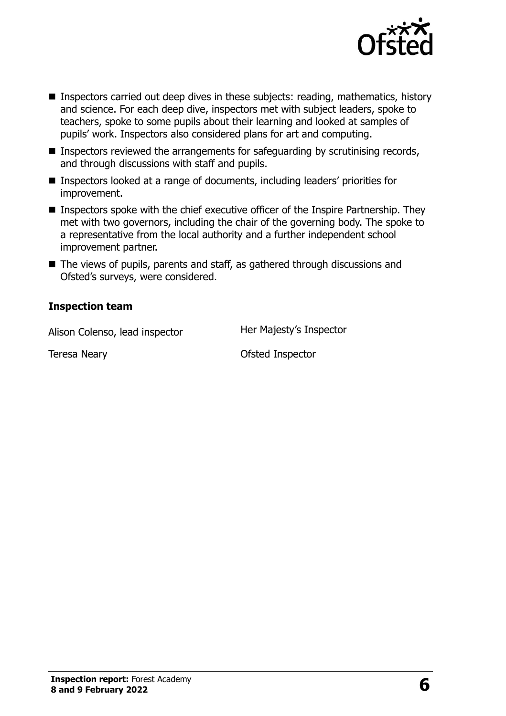

- Inspectors carried out deep dives in these subjects: reading, mathematics, history and science. For each deep dive, inspectors met with subject leaders, spoke to teachers, spoke to some pupils about their learning and looked at samples of pupils' work. Inspectors also considered plans for art and computing.
- $\blacksquare$  Inspectors reviewed the arrangements for safeguarding by scrutinising records, and through discussions with staff and pupils.
- Inspectors looked at a range of documents, including leaders' priorities for improvement.
- Inspectors spoke with the chief executive officer of the Inspire Partnership. They met with two governors, including the chair of the governing body. The spoke to a representative from the local authority and a further independent school improvement partner.
- The views of pupils, parents and staff, as gathered through discussions and Ofsted's surveys, were considered.

#### **Inspection team**

Alison Colenso, lead inspector Her Majesty's Inspector

Teresa Neary **Department Control** Control Ofsted Inspector